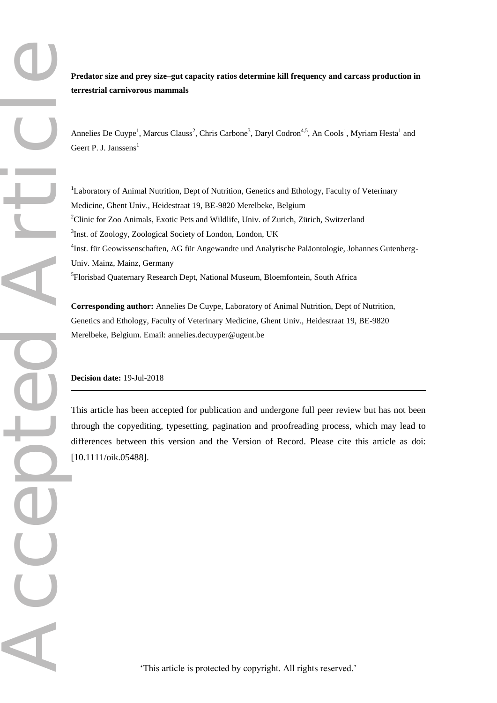**Predator size and prey size–gut capacity ratios determine kill frequency and carcass production in terrestrial carnivorous mammals**

Annelies De Cuype<sup>1</sup>, Marcus Clauss<sup>2</sup>, Chris Carbone<sup>3</sup>, Daryl Codron<sup>4,5</sup>, An Cools<sup>1</sup>, Myriam Hesta<sup>1</sup> and Geert P. J. Janssens $<sup>1</sup>$ </sup>

<sup>1</sup>Laboratory of Animal Nutrition, Dept of Nutrition, Genetics and Ethology, Faculty of Veterinary Medicine, Ghent Univ., Heidestraat 19, BE-9820 Merelbeke, Belgium <sup>2</sup>Clinic for Zoo Animals, Exotic Pets and Wildlife, Univ. of Zurich, Zürich, Switzerland <sup>3</sup>Inst. of Zoology, Zoological Society of London, London, UK 4 Inst. für Geowissenschaften, AG für Angewandte und Analytische Paläontologie, Johannes Gutenberg-Univ. Mainz, Mainz, Germany 5 Florisbad Quaternary Research Dept, National Museum, Bloemfontein, South Africa

**Corresponding author:** Annelies De Cuype, Laboratory of Animal Nutrition, Dept of Nutrition, Genetics and Ethology, Faculty of Veterinary Medicine, Ghent Univ., Heidestraat 19, BE-9820 Merelbeke, Belgium. Email: annelies.decuyper@ugent.be

# **Decision date:** 19-Jul-2018

This article has been accepted for publication and undergone full peer review but has not been through the copyediting, typesetting, pagination and proofreading process, which may lead to differences between this version and the Version of Record. Please cite this article as doi: [10.1111/oik.05488].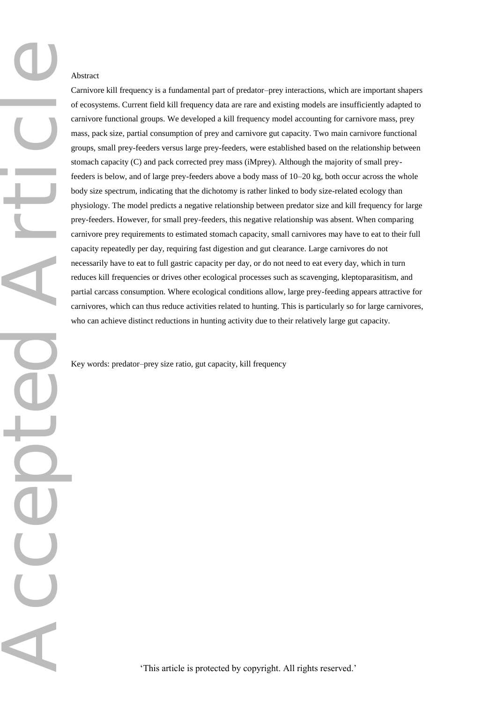CC

Carnivore kill frequency is a fundamental part of predator–prey interactions, which are important shapers of ecosystems. Current field kill frequency data are rare and existing models are insufficiently adapted to carnivore functional groups. We developed a kill frequency model accounting for carnivore mass, prey mass, pack size, partial consumption of prey and carnivore gut capacity. Two main carnivore functional groups, small prey-feeders versus large prey-feeders, were established based on the relationship between stomach capacity (C) and pack corrected prey mass (iMprey). Although the majority of small preyfeeders is below, and of large prey-feeders above a body mass of 10–20 kg, both occur across the whole body size spectrum, indicating that the dichotomy is rather linked to body size-related ecology than physiology. The model predicts a negative relationship between predator size and kill frequency for large prey-feeders. However, for small prey-feeders, this negative relationship was absent. When comparing carnivore prey requirements to estimated stomach capacity, small carnivores may have to eat to their full capacity repeatedly per day, requiring fast digestion and gut clearance. Large carnivores do not necessarily have to eat to full gastric capacity per day, or do not need to eat every day, which in turn reduces kill frequencies or drives other ecological processes such as scavenging, kleptoparasitism, and partial carcass consumption. Where ecological conditions allow, large prey-feeding appears attractive for carnivores, which can thus reduce activities related to hunting. This is particularly so for large carnivores, who can achieve distinct reductions in hunting activity due to their relatively large gut capacity.

Key words: predator–prey size ratio, gut capacity, kill frequency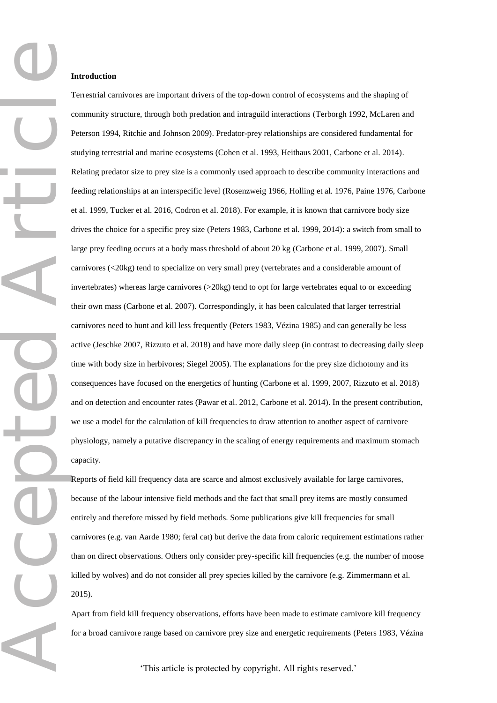### **Introduction**

Terrestrial carnivores are important drivers of the top-down control of ecosystems and the shaping of community structure, through both predation and intraguild interactions (Terborgh 1992, McLaren and Peterson 1994, Ritchie and Johnson 2009). Predator-prey relationships are considered fundamental for studying terrestrial and marine ecosystems (Cohen et al. 1993, Heithaus 2001, Carbone et al. 2014). Relating predator size to prey size is a commonly used approach to describe community interactions and feeding relationships at an interspecific level (Rosenzweig 1966, Holling et al. 1976, Paine 1976, Carbone et al. 1999, Tucker et al. 2016, Codron et al. 2018). For example, it is known that carnivore body size drives the choice for a specific prey size (Peters 1983, Carbone et al. 1999, 2014): a switch from small to large prey feeding occurs at a body mass threshold of about 20 kg (Carbone et al. 1999, 2007). Small carnivores (<20kg) tend to specialize on very small prey (vertebrates and a considerable amount of invertebrates) whereas large carnivores (>20kg) tend to opt for large vertebrates equal to or exceeding their own mass (Carbone et al. 2007). Correspondingly, it has been calculated that larger terrestrial carnivores need to hunt and kill less frequently (Peters 1983, Vézina 1985) and can generally be less active (Jeschke 2007, Rizzuto et al. 2018) and have more daily sleep (in contrast to decreasing daily sleep time with body size in herbivores; Siegel 2005). The explanations for the prey size dichotomy and its consequences have focused on the energetics of hunting (Carbone et al. 1999, 2007, Rizzuto et al. 2018) and on detection and encounter rates (Pawar et al. 2012, Carbone et al. 2014). In the present contribution, we use a model for the calculation of kill frequencies to draw attention to another aspect of carnivore physiology, namely a putative discrepancy in the scaling of energy requirements and maximum stomach capacity.

Reports of field kill frequency data are scarce and almost exclusively available for large carnivores, because of the labour intensive field methods and the fact that small prey items are mostly consumed entirely and therefore missed by field methods. Some publications give kill frequencies for small carnivores (e.g. van Aarde 1980; feral cat) but derive the data from caloric requirement estimations rather than on direct observations. Others only consider prey-specific kill frequencies (e.g. the number of moose killed by wolves) and do not consider all prey species killed by the carnivore (e.g. Zimmermann et al. 2015).

Apart from field kill frequency observations, efforts have been made to estimate carnivore kill frequency for a broad carnivore range based on carnivore prey size and energetic requirements (Peters 1983, Vézina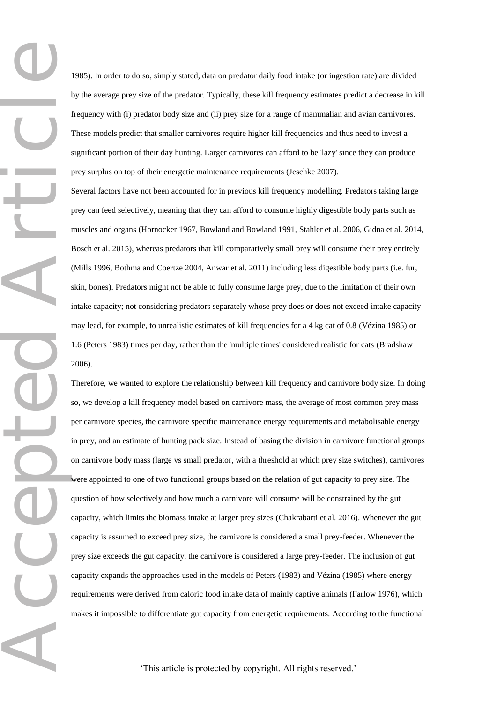1985). In order to do so, simply stated, data on predator daily food intake (or ingestion rate) are divided by the average prey size of the predator. Typically, these kill frequency estimates predict a decrease in kill frequency with (i) predator body size and (ii) prey size for a range of mammalian and avian carnivores. These models predict that smaller carnivores require higher kill frequencies and thus need to invest a significant portion of their day hunting. Larger carnivores can afford to be 'lazy' since they can produce prey surplus on top of their energetic maintenance requirements (Jeschke 2007).

Several factors have not been accounted for in previous kill frequency modelling. Predators taking large prey can feed selectively, meaning that they can afford to consume highly digestible body parts such as muscles and organs (Hornocker 1967, Bowland and Bowland 1991, Stahler et al. 2006, Gidna et al. 2014, Bosch et al. 2015), whereas predators that kill comparatively small prey will consume their prey entirely (Mills 1996, Bothma and Coertze 2004, Anwar et al. 2011) including less digestible body parts (i.e. fur, skin, bones). Predators might not be able to fully consume large prey, due to the limitation of their own intake capacity; not considering predators separately whose prey does or does not exceed intake capacity may lead, for example, to unrealistic estimates of kill frequencies for a 4 kg cat of 0.8 (Vézina 1985) or 1.6 (Peters 1983) times per day, rather than the 'multiple times' considered realistic for cats (Bradshaw 2006).

Accepted Article Therefore, we wanted to explore the relationship between kill frequency and carnivore body size. In doing so, we develop a kill frequency model based on carnivore mass, the average of most common prey mass per carnivore species, the carnivore specific maintenance energy requirements and metabolisable energy in prey, and an estimate of hunting pack size. Instead of basing the division in carnivore functional groups on carnivore body mass (large vs small predator, with a threshold at which prey size switches), carnivores were appointed to one of two functional groups based on the relation of gut capacity to prey size. The question of how selectively and how much a carnivore will consume will be constrained by the gut capacity, which limits the biomass intake at larger prey sizes (Chakrabarti et al. 2016). Whenever the gut capacity is assumed to exceed prey size, the carnivore is considered a small prey-feeder. Whenever the prey size exceeds the gut capacity, the carnivore is considered a large prey-feeder. The inclusion of gut capacity expands the approaches used in the models of Peters (1983) and Vézina (1985) where energy requirements were derived from caloric food intake data of mainly captive animals (Farlow 1976), which makes it impossible to differentiate gut capacity from energetic requirements. According to the functional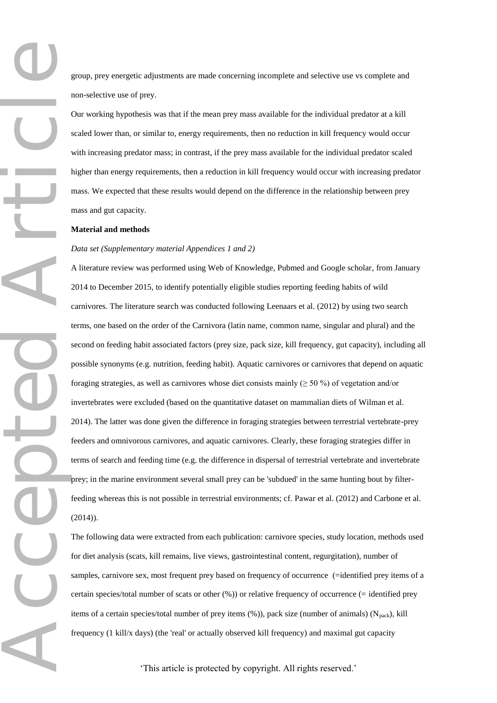group, prey energetic adjustments are made concerning incomplete and selective use vs complete and non-selective use of prey.

Our working hypothesis was that if the mean prey mass available for the individual predator at a kill scaled lower than, or similar to, energy requirements, then no reduction in kill frequency would occur with increasing predator mass; in contrast, if the prey mass available for the individual predator scaled higher than energy requirements, then a reduction in kill frequency would occur with increasing predator mass. We expected that these results would depend on the difference in the relationship between prey mass and gut capacity.

### **Material and methods**

## *Data set (Supplementary material Appendices 1 and 2)*

Accepted Article A literature review was performed using Web of Knowledge, Pubmed and Google scholar, from January 2014 to December 2015, to identify potentially eligible studies reporting feeding habits of wild carnivores. The literature search was conducted following Leenaars et al. (2012) by using two search terms, one based on the order of the Carnivora (latin name, common name, singular and plural) and the second on feeding habit associated factors (prey size, pack size, kill frequency, gut capacity), including all possible synonyms (e.g. nutrition, feeding habit). Aquatic carnivores or carnivores that depend on aquatic foraging strategies, as well as carnivores whose diet consists mainly ( $\geq$  50 %) of vegetation and/or invertebrates were excluded (based on the quantitative dataset on mammalian diets of Wilman et al. 2014). The latter was done given the difference in foraging strategies between terrestrial vertebrate-prey feeders and omnivorous carnivores, and aquatic carnivores. Clearly, these foraging strategies differ in terms of search and feeding time (e.g. the difference in dispersal of terrestrial vertebrate and invertebrate prey; in the marine environment several small prey can be 'subdued' in the same hunting bout by filterfeeding whereas this is not possible in terrestrial environments; cf. Pawar et al. (2012) and Carbone et al. (2014)).

The following data were extracted from each publication: carnivore species, study location, methods used for diet analysis (scats, kill remains, live views, gastrointestinal content, regurgitation), number of samples, carnivore sex, most frequent prey based on frequency of occurrence (=identified prey items of a certain species/total number of scats or other (%)) or relative frequency of occurrence (= identified prey items of a certain species/total number of prey items  $(\%)$ ), pack size (number of animals) (N<sub>pack</sub>), kill frequency (1 kill/x days) (the 'real' or actually observed kill frequency) and maximal gut capacity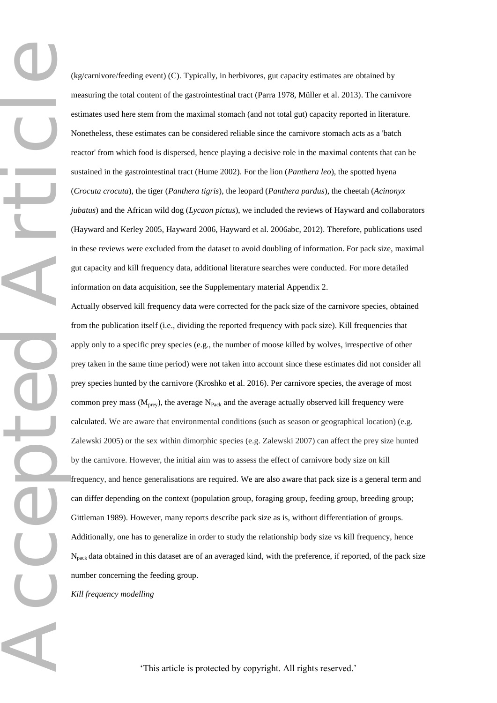Accepted Article

(kg/carnivore/feeding event) (C). Typically, in herbivores, gut capacity estimates are obtained by measuring the total content of the gastrointestinal tract (Parra 1978, Müller et al. 2013). The carnivore estimates used here stem from the maximal stomach (and not total gut) capacity reported in literature. Nonetheless, these estimates can be considered reliable since the carnivore stomach acts as a 'batch reactor' from which food is dispersed, hence playing a decisive role in the maximal contents that can be sustained in the gastrointestinal tract (Hume 2002). For the lion (*Panthera leo*), the spotted hyena (*Crocuta crocuta*), the tiger (*Panthera tigris*), the leopard (*Panthera pardus*), the cheetah (*Acinonyx jubatus*) and the African wild dog (*Lycaon pictus*), we included the reviews of Hayward and collaborators (Hayward and Kerley 2005, Hayward 2006, Hayward et al. 2006abc, 2012). Therefore, publications used in these reviews were excluded from the dataset to avoid doubling of information. For pack size, maximal gut capacity and kill frequency data, additional literature searches were conducted. For more detailed information on data acquisition, see the Supplementary material Appendix 2.

Actually observed kill frequency data were corrected for the pack size of the carnivore species, obtained from the publication itself (i.e., dividing the reported frequency with pack size). Kill frequencies that apply only to a specific prey species (e.g., the number of moose killed by wolves, irrespective of other prey taken in the same time period) were not taken into account since these estimates did not consider all prey species hunted by the carnivore (Kroshko et al. 2016). Per carnivore species, the average of most common prey mass ( $M_{prey}$ ), the average  $N_{Pack}$  and the average actually observed kill frequency were calculated. We are aware that environmental conditions (such as season or geographical location) (e.g. Zalewski 2005) or the sex within dimorphic species (e.g. Zalewski 2007) can affect the prey size hunted by the carnivore. However, the initial aim was to assess the effect of carnivore body size on kill frequency, and hence generalisations are required. We are also aware that pack size is a general term and can differ depending on the context (population group, foraging group, feeding group, breeding group; Gittleman 1989). However, many reports describe pack size as is, without differentiation of groups. Additionally, one has to generalize in order to study the relationship body size vs kill frequency, hence  $N<sub>pack</sub>$  data obtained in this dataset are of an averaged kind, with the preference, if reported, of the pack size number concerning the feeding group.

*Kill frequency modelling*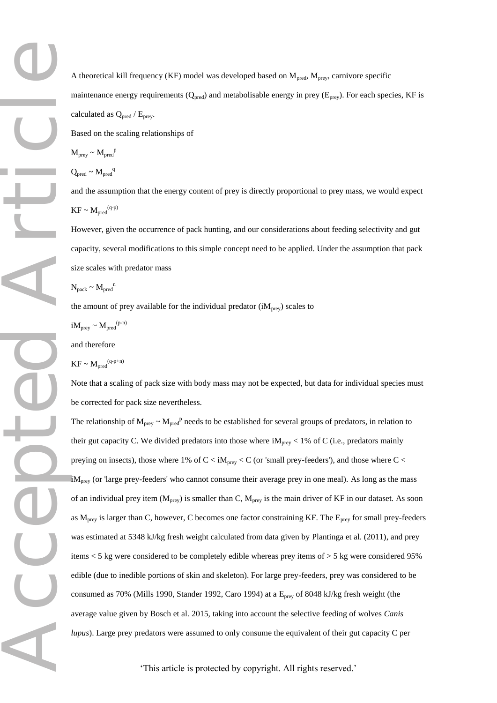A theoretical kill frequency (KF) model was developed based on  $M_{pred}$ ,  $M_{prev}$ , carnivore specific maintenance energy requirements  $(Q_{pred})$  and metabolisable energy in prey ( $E_{prey}$ ). For each species, KF is calculated as  $Q_{pred}$  /  $E_{prey}$ .

Based on the scaling relationships of

$$
M_{\text{prey}} \sim M_{\text{pred}}^p
$$

$$
Q_{pred} \sim M_{pred}^{\quad q}
$$

and the assumption that the energy content of prey is directly proportional to prey mass, we would expect  $KF \sim M_{pred}^{(q-p)}$ 

However, given the occurrence of pack hunting, and our considerations about feeding selectivity and gut capacity, several modifications to this simple concept need to be applied. Under the assumption that pack size scales with predator mass

$$
N_{pack} \sim M_{pred}^{n}
$$

the amount of prey available for the individual predator  $(iM<sub>prev</sub>)$  scales to

 $iM_{\text{prey}} \sim M_{\text{pred}}^{\text{(p-n)}}$ 

and therefore

 $KF \sim M_{pred}^{(q-p+n)}$ 

Note that a scaling of pack size with body mass may not be expected, but data for individual species must be corrected for pack size nevertheless.

The relationship of  $M_{prey} \sim M_{pred}^p$  needs to be established for several groups of predators, in relation to their gut capacity C. We divided predators into those where  $iM_{prey}$  < 1% of C (i.e., predators mainly preying on insects), those where 1% of  $C < iM_{prey} < C$  (or 'small prey-feeders'), and those where  $C <$  $iM<sub>prev</sub>$  (or 'large prey-feeders' who cannot consume their average prey in one meal). As long as the mass of an individual prey item ( $M_{prey}$ ) is smaller than C,  $M_{prey}$  is the main driver of KF in our dataset. As soon as  $M_{prey}$  is larger than C, however, C becomes one factor constraining KF. The  $E_{prey}$  for small prey-feeders was estimated at 5348 kJ/kg fresh weight calculated from data given by Plantinga et al. (2011), and prey items < 5 kg were considered to be completely edible whereas prey items of > 5 kg were considered 95% edible (due to inedible portions of skin and skeleton). For large prey-feeders, prey was considered to be consumed as 70% (Mills 1990, Stander 1992, Caro 1994) at a E<sub>prey</sub> of 8048 kJ/kg fresh weight (the average value given by Bosch et al. 2015, taking into account the selective feeding of wolves *Canis lupus*). Large prey predators were assumed to only consume the equivalent of their gut capacity C per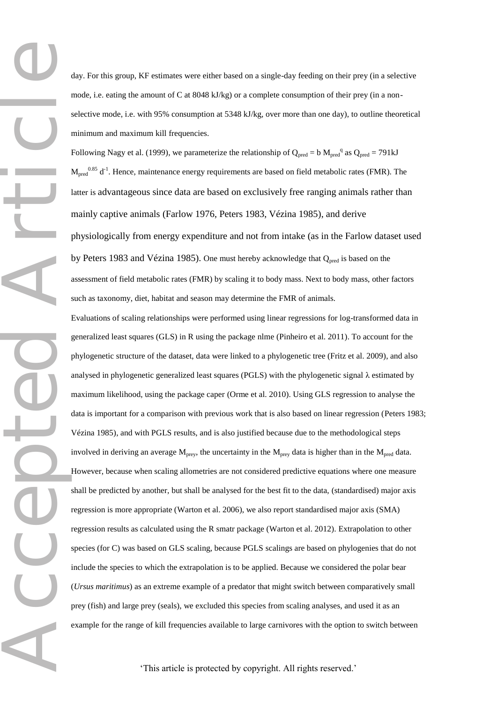day. For this group, KF estimates were either based on a single-day feeding on their prey (in a selective mode, i.e. eating the amount of C at 8048 kJ/kg) or a complete consumption of their prey (in a nonselective mode, i.e. with 95% consumption at 5348 kJ/kg, over more than one day), to outline theoretical minimum and maximum kill frequencies.

Following Nagy et al. (1999), we parameterize the relationship of  $Q_{pred} = b M_{pred}^q$  as  $Q_{pred} = 791kJ$  $M_{pred}$ <sup>0.85</sup> d<sup>-1</sup>. Hence, maintenance energy requirements are based on field metabolic rates (FMR). The latter is advantageous since data are based on exclusively free ranging animals rather than mainly captive animals (Farlow 1976, Peters 1983, Vézina 1985), and derive physiologically from energy expenditure and not from intake (as in the Farlow dataset used by Peters 1983 and Vézina 1985). One must hereby acknowledge that  $Q_{pred}$  is based on the assessment of field metabolic rates (FMR) by scaling it to body mass. Next to body mass, other factors such as taxonomy, diet, habitat and season may determine the FMR of animals.

Evaluations of scaling relationships were performed using linear regressions for log-transformed data in generalized least squares (GLS) in R using the package nlme (Pinheiro et al. 2011). To account for the phylogenetic structure of the dataset, data were linked to a phylogenetic tree (Fritz et al. 2009), and also analysed in phylogenetic generalized least squares (PGLS) with the phylogenetic signal  $\lambda$  estimated by maximum likelihood, using the package caper (Orme et al. 2010). Using GLS regression to analyse the data is important for a comparison with previous work that is also based on linear regression (Peters 1983; Vézina 1985), and with PGLS results, and is also justified because due to the methodological steps involved in deriving an average  $M_{prey}$ , the uncertainty in the  $M_{prey}$  data is higher than in the  $M_{pred}$  data. However, because when scaling allometries are not considered predictive equations where one measure shall be predicted by another, but shall be analysed for the best fit to the data, (standardised) major axis regression is more appropriate (Warton et al. 2006), we also report standardised major axis (SMA) regression results as calculated using the R smatr package (Warton et al. 2012). Extrapolation to other species (for C) was based on GLS scaling, because PGLS scalings are based on phylogenies that do not include the species to which the extrapolation is to be applied. Because we considered the polar bear (*Ursus maritimus*) as an extreme example of a predator that might switch between comparatively small prey (fish) and large prey (seals), we excluded this species from scaling analyses, and used it as an example for the range of kill frequencies available to large carnivores with the option to switch between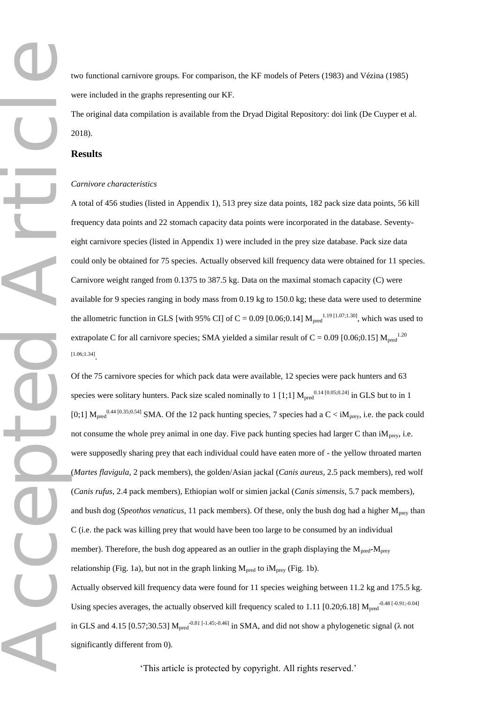two functional carnivore groups. For comparison, the KF models of Peters (1983) and Vézina (1985) were included in the graphs representing our KF.

The original data compilation is available from the Dryad Digital Repository: doi link (De Cuyper et al. 2018).

## **Results**

#### *Carnivore characteristics*

A total of 456 studies (listed in Appendix 1), 513 prey size data points, 182 pack size data points, 56 kill frequency data points and 22 stomach capacity data points were incorporated in the database. Seventyeight carnivore species (listed in Appendix 1) were included in the prey size database. Pack size data could only be obtained for 75 species. Actually observed kill frequency data were obtained for 11 species. Carnivore weight ranged from 0.1375 to 387.5 kg. Data on the maximal stomach capacity (C) were available for 9 species ranging in body mass from 0.19 kg to 150.0 kg; these data were used to determine the allometric function in GLS [with 95% CI] of C = 0.09 [0.06;0.14]  $M_{pred}^{1.19 [1.07;1.30]}$ , which was used to extrapolate C for all carnivore species; SMA yielded a similar result of C = 0.09 [0.06;0.15]  $M_{pred}$ <sup>1.20</sup> [1.06;1.34] .

Of the 75 carnivore species for which pack data were available, 12 species were pack hunters and 63 species were solitary hunters. Pack size scaled nominally to 1 [1;1]  $M_{pred}^{0.14}$  [0.05;0.24] in GLS but to in 1 [0;1]  $M_{pred}^{0.44}$  [0.35;0.54] SMA. Of the 12 pack hunting species, 7 species had a C < iM<sub>prey</sub>, i.e. the pack could not consume the whole prey animal in one day. Five pack hunting species had larger C than  $iM<sub>prev</sub>$ , i.e. were supposedly sharing prey that each individual could have eaten more of - the yellow throated marten (*Martes flavigula*, 2 pack members), the golden/Asian jackal (*Canis aureus*, 2.5 pack members), red wolf (*Canis rufus*, 2.4 pack members), Ethiopian wolf or simien jackal (*Canis simensis*, 5.7 pack members), and bush dog (*Speothos venaticus*, 11 pack members). Of these, only the bush dog had a higher M<sub>prey</sub> than C (i.e. the pack was killing prey that would have been too large to be consumed by an individual member). Therefore, the bush dog appeared as an outlier in the graph displaying the  $M_{pred}$ - $M_{pre}$ relationship (Fig. 1a), but not in the graph linking  $M_{pred}$  to i $M_{prev}$  (Fig. 1b).

Actually observed kill frequency data were found for 11 species weighing between 11.2 kg and 175.5 kg. Using species averages, the actually observed kill frequency scaled to 1.11 [0.20;6.18]  $M_{pred}^{-0.48~[-0.91; -0.04]}$ in GLS and 4.15 [0.57;30.53]  $M_{pred}^{-0.81$  [-1.45;-0.46] in SMA, and did not show a phylogenetic signal ( $\lambda$  not significantly different from 0).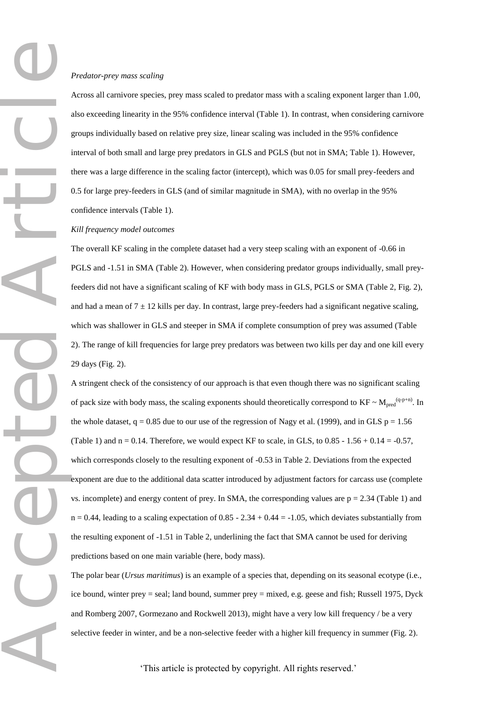Across all carnivore species, prey mass scaled to predator mass with a scaling exponent larger than 1.00, also exceeding linearity in the 95% confidence interval (Table 1). In contrast, when considering carnivore groups individually based on relative prey size, linear scaling was included in the 95% confidence interval of both small and large prey predators in GLS and PGLS (but not in SMA; Table 1). However, there was a large difference in the scaling factor (intercept), which was 0.05 for small prey-feeders and 0.5 for large prey-feeders in GLS (and of similar magnitude in SMA), with no overlap in the 95% confidence intervals (Table 1).

## *Kill frequency model outcomes*

The overall KF scaling in the complete dataset had a very steep scaling with an exponent of -0.66 in PGLS and -1.51 in SMA (Table 2). However, when considering predator groups individually, small preyfeeders did not have a significant scaling of KF with body mass in GLS, PGLS or SMA (Table 2, Fig. 2), and had a mean of  $7 \pm 12$  kills per day. In contrast, large prey-feeders had a significant negative scaling, which was shallower in GLS and steeper in SMA if complete consumption of prey was assumed (Table 2). The range of kill frequencies for large prey predators was between two kills per day and one kill every 29 days (Fig. 2).

A stringent check of the consistency of our approach is that even though there was no significant scaling of pack size with body mass, the scaling exponents should theoretically correspond to  $KF \sim M_{pred}^{(q-p+n)}$ . In the whole dataset,  $q = 0.85$  due to our use of the regression of Nagy et al. (1999), and in GLS  $p = 1.56$ (Table 1) and  $n = 0.14$ . Therefore, we would expect KF to scale, in GLS, to  $0.85 - 1.56 + 0.14 = -0.57$ , which corresponds closely to the resulting exponent of -0.53 in Table 2. Deviations from the expected exponent are due to the additional data scatter introduced by adjustment factors for carcass use (complete vs. incomplete) and energy content of prey. In SMA, the corresponding values are  $p = 2.34$  (Table 1) and  $n = 0.44$ , leading to a scaling expectation of  $0.85 - 2.34 + 0.44 = -1.05$ , which deviates substantially from the resulting exponent of -1.51 in Table 2, underlining the fact that SMA cannot be used for deriving predictions based on one main variable (here, body mass).

The polar bear (*Ursus maritimus*) is an example of a species that, depending on its seasonal ecotype (i.e., ice bound, winter prey = seal; land bound, summer prey = mixed, e.g. geese and fish; Russell 1975, Dyck and Romberg 2007, Gormezano and Rockwell 2013), might have a very low kill frequency / be a very selective feeder in winter, and be a non-selective feeder with a higher kill frequency in summer (Fig. 2).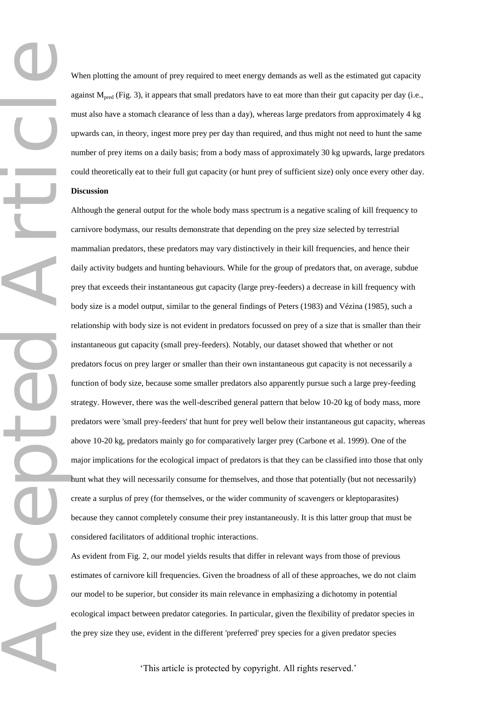Accepted Article When plotting the amount of prey required to meet energy demands as well as the estimated gut capacity against  $M<sub>pred</sub>$  (Fig. 3), it appears that small predators have to eat more than their gut capacity per day (i.e., must also have a stomach clearance of less than a day), whereas large predators from approximately 4 kg upwards can, in theory, ingest more prey per day than required, and thus might not need to hunt the same number of prey items on a daily basis; from a body mass of approximately 30 kg upwards, large predators could theoretically eat to their full gut capacity (or hunt prey of sufficient size) only once every other day. **Discussion**

Although the general output for the whole body mass spectrum is a negative scaling of kill frequency to carnivore bodymass, our results demonstrate that depending on the prey size selected by terrestrial mammalian predators, these predators may vary distinctively in their kill frequencies, and hence their daily activity budgets and hunting behaviours. While for the group of predators that, on average, subdue prey that exceeds their instantaneous gut capacity (large prey-feeders) a decrease in kill frequency with body size is a model output, similar to the general findings of Peters (1983) and Vézina (1985), such a relationship with body size is not evident in predators focussed on prey of a size that is smaller than their instantaneous gut capacity (small prey-feeders). Notably, our dataset showed that whether or not predators focus on prey larger or smaller than their own instantaneous gut capacity is not necessarily a function of body size, because some smaller predators also apparently pursue such a large prey-feeding strategy. However, there was the well-described general pattern that below 10-20 kg of body mass, more predators were 'small prey-feeders' that hunt for prey well below their instantaneous gut capacity, whereas above 10-20 kg, predators mainly go for comparatively larger prey (Carbone et al. 1999). One of the major implications for the ecological impact of predators is that they can be classified into those that only hunt what they will necessarily consume for themselves, and those that potentially (but not necessarily) create a surplus of prey (for themselves, or the wider community of scavengers or kleptoparasites) because they cannot completely consume their prey instantaneously. It is this latter group that must be considered facilitators of additional trophic interactions.

As evident from Fig. 2, our model yields results that differ in relevant ways from those of previous estimates of carnivore kill frequencies. Given the broadness of all of these approaches, we do not claim our model to be superior, but consider its main relevance in emphasizing a dichotomy in potential ecological impact between predator categories. In particular, given the flexibility of predator species in the prey size they use, evident in the different 'preferred' prey species for a given predator species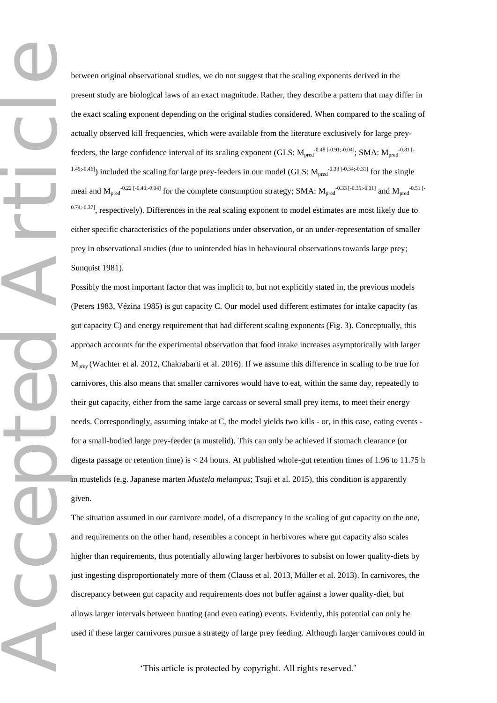Accepted Article

between original observational studies, we do not suggest that the scaling exponents derived in the present study are biological laws of an exact magnitude. Rather, they describe a pattern that may differ in the exact scaling exponent depending on the original studies considered. When compared to the scaling of actually observed kill frequencies, which were available from the literature exclusively for large preyfeeders, the large confidence interval of its scaling exponent (GLS:  $M_{pred}^{-.0.48~[-0.91; -0.04]}$ ; SMA:  $M_{pred}^{-.0.81~[-0.01; -0.04]}$  $(1.45; 0.46)$ ) included the scaling for large prey-feeders in our model (GLS:  $M_{pred}$ <sup>-0.33 [-0.34;-0.31]</sup> for the single meal and  $M_{pred}^{-0.22~[-0.40; -0.04]}$  for the complete consumption strategy; SMA:  $M_{pred}^{-0.33~[-0.35; -0.31]}$  and  $M_{pred}^{-0.51~[-0.35; -0.31]}$  $0.74;0.37$ ], respectively). Differences in the real scaling exponent to model estimates are most likely due to either specific characteristics of the populations under observation, or an under-representation of smaller prey in observational studies (due to unintended bias in behavioural observations towards large prey; Sunquist 1981).

Possibly the most important factor that was implicit to, but not explicitly stated in, the previous models (Peters 1983, Vézina 1985) is gut capacity C. Our model used different estimates for intake capacity (as gut capacity C) and energy requirement that had different scaling exponents (Fig. 3). Conceptually, this approach accounts for the experimental observation that food intake increases asymptotically with larger M<sub>prey</sub> (Wachter et al. 2012, Chakrabarti et al. 2016). If we assume this difference in scaling to be true for carnivores, this also means that smaller carnivores would have to eat, within the same day, repeatedly to their gut capacity, either from the same large carcass or several small prey items, to meet their energy needs. Correspondingly, assuming intake at C, the model yields two kills - or, in this case, eating events for a small-bodied large prey-feeder (a mustelid). This can only be achieved if stomach clearance (or digesta passage or retention time) is < 24 hours. At published whole-gut retention times of 1.96 to 11.75 h in mustelids (e.g. Japanese marten *Mustela melampus*; Tsuji et al. 2015), this condition is apparently given.

The situation assumed in our carnivore model, of a discrepancy in the scaling of gut capacity on the one, and requirements on the other hand, resembles a concept in herbivores where gut capacity also scales higher than requirements, thus potentially allowing larger herbivores to subsist on lower quality-diets by just ingesting disproportionately more of them (Clauss et al. 2013, Müller et al. 2013). In carnivores, the discrepancy between gut capacity and requirements does not buffer against a lower quality-diet, but allows larger intervals between hunting (and even eating) events. Evidently, this potential can only be used if these larger carnivores pursue a strategy of large prey feeding. Although larger carnivores could in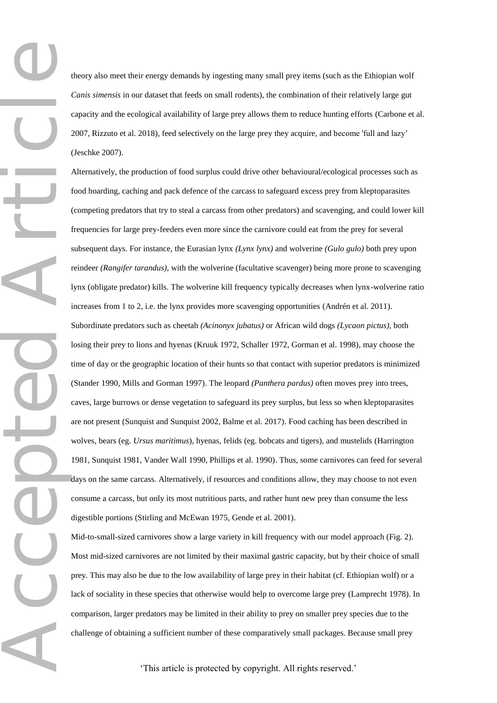theory also meet their energy demands by ingesting many small prey items (such as the Ethiopian wolf *Canis simensis* in our dataset that feeds on small rodents), the combination of their relatively large gut capacity and the ecological availability of large prey allows them to reduce hunting efforts (Carbone et al. 2007, Rizzuto et al. 2018), feed selectively on the large prey they acquire, and become 'full and lazy' (Jeschke 2007).

Accepted Article Alternatively, the production of food surplus could drive other behavioural/ecological processes such as food hoarding, caching and pack defence of the carcass to safeguard excess prey from kleptoparasites (competing predators that try to steal a carcass from other predators) and scavenging, and could lower kill frequencies for large prey-feeders even more since the carnivore could eat from the prey for several subsequent days. For instance, the Eurasian lynx *(Lynx lynx)* and wolverine *(Gulo gulo)* both prey upon reindeer *(Rangifer tarandus)*, with the wolverine (facultative scavenger) being more prone to scavenging lynx (obligate predator) kills. The wolverine kill frequency typically decreases when lynx-wolverine ratio increases from 1 to 2, i.e. the lynx provides more scavenging opportunities (Andrén et al. 2011). Subordinate predators such as cheetah *(Acinonyx jubatus)* or African wild dogs *(Lycaon pictus),* both losing their prey to lions and hyenas (Kruuk 1972, Schaller 1972, Gorman et al. 1998), may choose the time of day or the geographic location of their hunts so that contact with superior predators is minimized (Stander 1990, Mills and Gorman 1997). The leopard *(Panthera pardus)* often moves prey into trees, caves, large burrows or dense vegetation to safeguard its prey surplus, but less so when kleptoparasites are not present (Sunquist and Sunquist 2002, Balme et al. 2017). Food caching has been described in wolves, bears (eg. *Ursus maritimus*), hyenas, felids (eg. bobcats and tigers), and mustelids (Harrington 1981, Sunquist 1981, Vander Wall 1990, Phillips et al. 1990). Thus, some carnivores can feed for several days on the same carcass. Alternatively, if resources and conditions allow, they may choose to not even consume a carcass, but only its most nutritious parts, and rather hunt new prey than consume the less digestible portions (Stirling and McEwan 1975, Gende et al. 2001).

Mid-to-small-sized carnivores show a large variety in kill frequency with our model approach (Fig. 2). Most mid-sized carnivores are not limited by their maximal gastric capacity, but by their choice of small prey. This may also be due to the low availability of large prey in their habitat (cf. Ethiopian wolf) or a lack of sociality in these species that otherwise would help to overcome large prey (Lamprecht 1978). In comparison, larger predators may be limited in their ability to prey on smaller prey species due to the challenge of obtaining a sufficient number of these comparatively small packages. Because small prey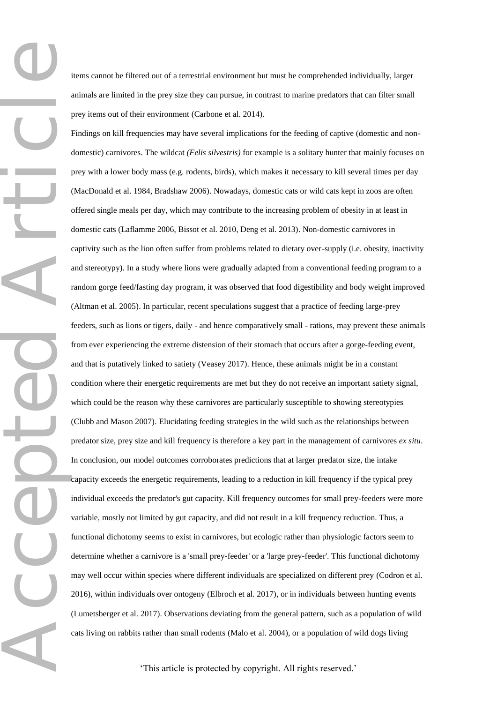Accepted Article items cannot be filtered out of a terrestrial environment but must be comprehended individually, larger animals are limited in the prey size they can pursue, in contrast to marine predators that can filter small prey items out of their environment (Carbone et al. 2014).

Findings on kill frequencies may have several implications for the feeding of captive (domestic and nondomestic) carnivores. The wildcat *(Felis silvestris)* for example is a solitary hunter that mainly focuses on prey with a lower body mass (e.g. rodents, birds), which makes it necessary to kill several times per day (MacDonald et al. 1984, Bradshaw 2006). Nowadays, domestic cats or wild cats kept in zoos are often offered single meals per day, which may contribute to the increasing problem of obesity in at least in domestic cats (Laflamme 2006, Bissot et al. 2010, Deng et al. 2013). Non-domestic carnivores in captivity such as the lion often suffer from problems related to dietary over-supply (i.e. obesity, inactivity and stereotypy). In a study where lions were gradually adapted from a conventional feeding program to a random gorge feed/fasting day program, it was observed that food digestibility and body weight improved (Altman et al. 2005). In particular, recent speculations suggest that a practice of feeding large-prey feeders, such as lions or tigers, daily - and hence comparatively small - rations, may prevent these animals from ever experiencing the extreme distension of their stomach that occurs after a gorge-feeding event, and that is putatively linked to satiety (Veasey 2017). Hence, these animals might be in a constant condition where their energetic requirements are met but they do not receive an important satiety signal, which could be the reason why these carnivores are particularly susceptible to showing stereotypies (Clubb and Mason 2007). Elucidating feeding strategies in the wild such as the relationships between predator size, prey size and kill frequency is therefore a key part in the management of carnivores *ex situ*. In conclusion, our model outcomes corroborates predictions that at larger predator size, the intake capacity exceeds the energetic requirements, leading to a reduction in kill frequency if the typical prey individual exceeds the predator's gut capacity. Kill frequency outcomes for small prey-feeders were more variable, mostly not limited by gut capacity, and did not result in a kill frequency reduction. Thus, a functional dichotomy seems to exist in carnivores, but ecologic rather than physiologic factors seem to determine whether a carnivore is a 'small prey-feeder' or a 'large prey-feeder'. This functional dichotomy may well occur within species where different individuals are specialized on different prey (Codron et al. 2016), within individuals over ontogeny (Elbroch et al. 2017), or in individuals between hunting events (Lumetsberger et al. 2017). Observations deviating from the general pattern, such as a population of wild cats living on rabbits rather than small rodents (Malo et al. 2004), or a population of wild dogs living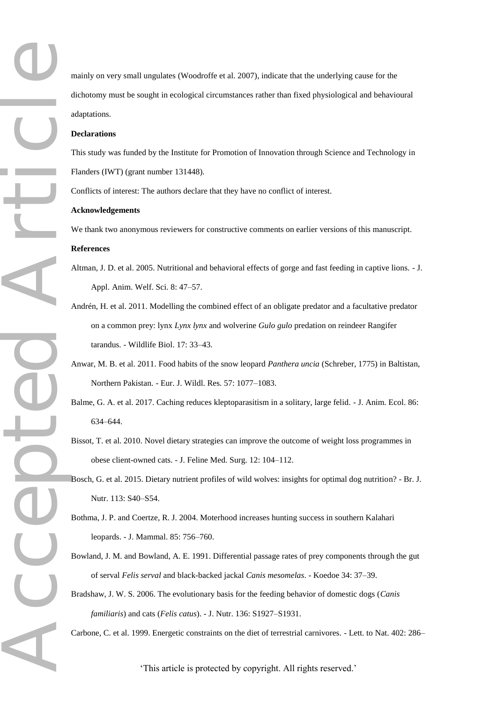mainly on very small ungulates (Woodroffe et al. 2007), indicate that the underlying cause for the dichotomy must be sought in ecological circumstances rather than fixed physiological and behavioural adaptations.

## **Declarations**

This study was funded by the Institute for Promotion of Innovation through Science and Technology in Flanders (IWT) (grant number 131448).

Conflicts of interest: The authors declare that they have no conflict of interest.

#### **Acknowledgements**

We thank two anonymous reviewers for constructive comments on earlier versions of this manuscript. **References**

- Altman, J. D. et al. 2005. Nutritional and behavioral effects of gorge and fast feeding in captive lions. J. Appl. Anim. Welf. Sci. 8: 47–57.
- Accepted Article Andrén, H. et al. 2011. Modelling the combined effect of an obligate predator and a facultative predator on a common prey: lynx *Lynx lynx* and wolverine *Gulo gulo* predation on reindeer Rangifer tarandus. - Wildlife Biol. 17: 33–43.
	- Anwar, M. B. et al. 2011. Food habits of the snow leopard *Panthera uncia* (Schreber, 1775) in Baltistan, Northern Pakistan. - Eur. J. Wildl. Res. 57: 1077–1083.
	- Balme, G. A. et al. 2017. Caching reduces kleptoparasitism in a solitary, large felid. J. Anim. Ecol. 86: 634–644.
	- Bissot, T. et al. 2010. Novel dietary strategies can improve the outcome of weight loss programmes in obese client-owned cats. - J. Feline Med. Surg. 12: 104–112.
	- Bosch, G. et al. 2015. Dietary nutrient profiles of wild wolves: insights for optimal dog nutrition? Br. J. Nutr. 113: S40–S54.
	- Bothma, J. P. and Coertze, R. J. 2004. Moterhood increases hunting success in southern Kalahari leopards. - J. Mammal. 85: 756–760.
	- Bowland, J. M. and Bowland, A. E. 1991. Differential passage rates of prey components through the gut of serval *Felis serval* and black-backed jackal *Canis mesomelas*. - Koedoe 34: 37–39.
	- Bradshaw, J. W. S. 2006. The evolutionary basis for the feeding behavior of domestic dogs (*Canis familiaris*) and cats (*Felis catus*). - J. Nutr. 136: S1927–S1931.

Carbone, C. et al. 1999. Energetic constraints on the diet of terrestrial carnivores. - Lett. to Nat. 402: 286–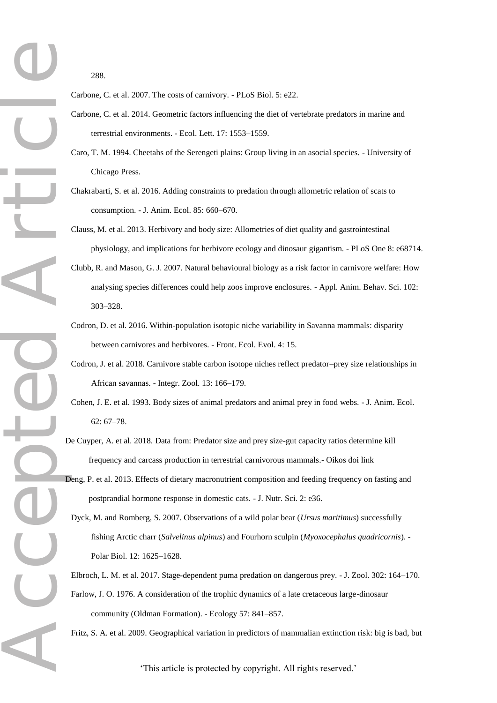288.

Carbone, C. et al. 2007. The costs of carnivory. - PLoS Biol. 5: e22.

- Carbone, C. et al. 2014. Geometric factors influencing the diet of vertebrate predators in marine and terrestrial environments. - Ecol. Lett. 17: 1553–1559.
- Caro, T. M. 1994. Cheetahs of the Serengeti plains: Group living in an asocial species. University of Chicago Press.
- Chakrabarti, S. et al. 2016. Adding constraints to predation through allometric relation of scats to consumption. - J. Anim. Ecol. 85: 660–670.
- Clauss, M. et al. 2013. Herbivory and body size: Allometries of diet quality and gastrointestinal physiology, and implications for herbivore ecology and dinosaur gigantism. - PLoS One 8: e68714.
- Clubb, R. and Mason, G. J. 2007. Natural behavioural biology as a risk factor in carnivore welfare: How analysing species differences could help zoos improve enclosures. - Appl. Anim. Behav. Sci. 102: 303–328.
- Codron, D. et al. 2016. Within-population isotopic niche variability in Savanna mammals: disparity between carnivores and herbivores. - Front. Ecol. Evol. 4: 15.
- Codron, J. et al. 2018. Carnivore stable carbon isotope niches reflect predator–prey size relationships in African savannas. - Integr. Zool. 13: 166–179.
- Cohen, J. E. et al. 1993. Body sizes of animal predators and animal prey in food webs. J. Anim. Ecol. 62: 67–78.
- De Cuyper, A. et al. 2018. Data from: Predator size and prey size-gut capacity ratios determine kill frequency and carcass production in terrestrial carnivorous mammals.- Oikos doi link
- Deng, P. et al. 2013. Effects of dietary macronutrient composition and feeding frequency on fasting and postprandial hormone response in domestic cats. - J. Nutr. Sci. 2: e36.
- Dyck, M. and Romberg, S. 2007. Observations of a wild polar bear (*Ursus maritimus*) successfully fishing Arctic charr (*Salvelinus alpinus*) and Fourhorn sculpin (*Myoxocephalus quadricornis*). - Polar Biol. 12: 1625–1628.

Elbroch, L. M. et al. 2017. Stage-dependent puma predation on dangerous prey. - J. Zool. 302: 164–170. Farlow, J. O. 1976. A consideration of the trophic dynamics of a late cretaceous large-dinosaur

community (Oldman Formation). - Ecology 57: 841–857.

Fritz, S. A. et al. 2009. Geographical variation in predictors of mammalian extinction risk: big is bad, but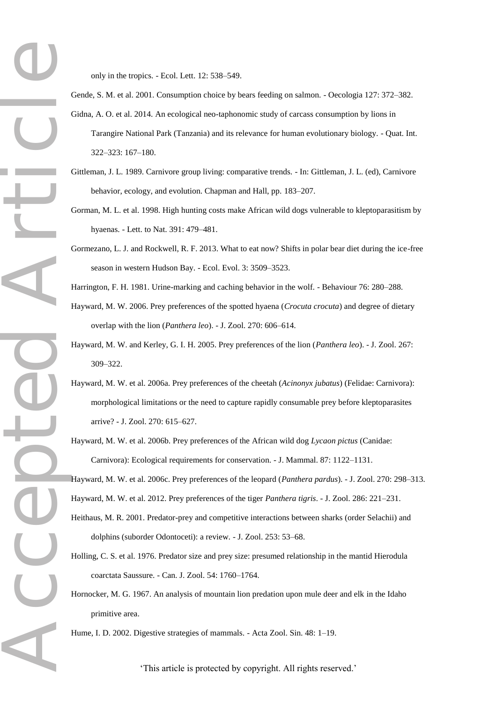Accepted Article

only in the tropics. - Ecol. Lett. 12: 538–549.

- Gende, S. M. et al. 2001. Consumption choice by bears feeding on salmon. Oecologia 127: 372–382. Gidna, A. O. et al. 2014. An ecological neo-taphonomic study of carcass consumption by lions in Tarangire National Park (Tanzania) and its relevance for human evolutionary biology. - Quat. Int. 322–323: 167–180.
- Gittleman, J. L. 1989. Carnivore group living: comparative trends. In: Gittleman, J. L. (ed), Carnivore behavior, ecology, and evolution. Chapman and Hall, pp. 183–207.
- Gorman, M. L. et al. 1998. High hunting costs make African wild dogs vulnerable to kleptoparasitism by hyaenas. - Lett. to Nat. 391: 479–481.
- Gormezano, L. J. and Rockwell, R. F. 2013. What to eat now? Shifts in polar bear diet during the ice-free season in western Hudson Bay. - Ecol. Evol. 3: 3509–3523.

Harrington, F. H. 1981. Urine-marking and caching behavior in the wolf. - Behaviour 76: 280–288.

- Hayward, M. W. 2006. Prey preferences of the spotted hyaena (*Crocuta crocuta*) and degree of dietary overlap with the lion (*Panthera leo*). - J. Zool. 270: 606–614.
- Hayward, M. W. and Kerley, G. I. H. 2005. Prey preferences of the lion (*Panthera leo*). J. Zool. 267: 309–322.
- Hayward, M. W. et al. 2006a. Prey preferences of the cheetah (*Acinonyx jubatus*) (Felidae: Carnivora): morphological limitations or the need to capture rapidly consumable prey before kleptoparasites arrive? - J. Zool. 270: 615–627.
- Hayward, M. W. et al. 2006b. Prey preferences of the African wild dog *Lycaon pictus* (Canidae: Carnivora): Ecological requirements for conservation. - J. Mammal. 87: 1122–1131.

Hayward, M. W. et al. 2006c. Prey preferences of the leopard (*Panthera pardus*). - J. Zool. 270: 298–313. Hayward, M. W. et al. 2012. Prey preferences of the tiger *Panthera tigris*. - J. Zool. 286: 221–231.

- Heithaus, M. R. 2001. Predator-prey and competitive interactions between sharks (order Selachii) and dolphins (suborder Odontoceti): a review. - J. Zool. 253: 53–68.
- Holling, C. S. et al. 1976. Predator size and prey size: presumed relationship in the mantid Hierodula coarctata Saussure. - Can. J. Zool. 54: 1760–1764.
- Hornocker, M. G. 1967. An analysis of mountain lion predation upon mule deer and elk in the Idaho primitive area.

Hume, I. D. 2002. Digestive strategies of mammals. - Acta Zool. Sin. 48: 1–19.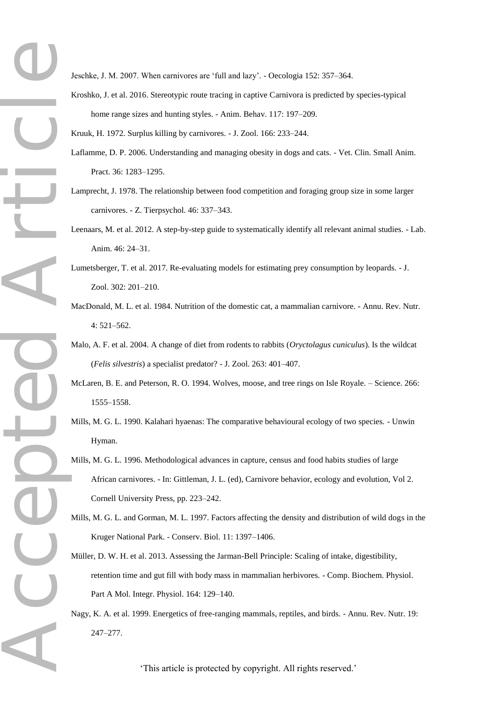Jeschke, J. M. 2007. When carnivores are 'full and lazy'. - Oecologia 152: 357–364.

Kroshko, J. et al. 2016. Stereotypic route tracing in captive Carnivora is predicted by species-typical home range sizes and hunting styles. - Anim. Behav. 117: 197–209.

Kruuk, H. 1972. Surplus killing by carnivores. - J. Zool. 166: 233–244.

- Laflamme, D. P. 2006. Understanding and managing obesity in dogs and cats. Vet. Clin. Small Anim. Pract. 36: 1283–1295.
- Lamprecht, J. 1978. The relationship between food competition and foraging group size in some larger carnivores. - Z. Tierpsychol. 46: 337–343.
- Leenaars, M. et al. 2012. A step-by-step guide to systematically identify all relevant animal studies. Lab. Anim. 46: 24–31.
- Lumetsberger, T. et al. 2017. Re-evaluating models for estimating prey consumption by leopards. J. Zool. 302: 201–210.
- MacDonald, M. L. et al. 1984. Nutrition of the domestic cat, a mammalian carnivore. Annu. Rev. Nutr. 4: 521–562.
- Malo, A. F. et al. 2004. A change of diet from rodents to rabbits (*Oryctolagus cuniculus*). Is the wildcat (*Felis silvestris*) a specialist predator? - J. Zool. 263: 401–407.
- McLaren, B. E. and Peterson, R. O. 1994. Wolves, moose, and tree rings on Isle Royale. Science. 266: 1555–1558.
- Mills, M. G. L. 1990. Kalahari hyaenas: The comparative behavioural ecology of two species. Unwin Hyman.
- Mills, M. G. L. 1996. Methodological advances in capture, census and food habits studies of large African carnivores. - In: Gittleman, J. L. (ed), Carnivore behavior, ecology and evolution, Vol 2. Cornell University Press, pp. 223–242.
- Mills, M. G. L. and Gorman, M. L. 1997. Factors affecting the density and distribution of wild dogs in the Kruger National Park. - Conserv. Biol. 11: 1397–1406.
- Müller, D. W. H. et al. 2013. Assessing the Jarman-Bell Principle: Scaling of intake, digestibility, retention time and gut fill with body mass in mammalian herbivores. - Comp. Biochem. Physiol. Part A Mol. Integr. Physiol. 164: 129–140.
- Nagy, K. A. et al. 1999. Energetics of free-ranging mammals, reptiles, and birds. Annu. Rev. Nutr. 19: 247–277.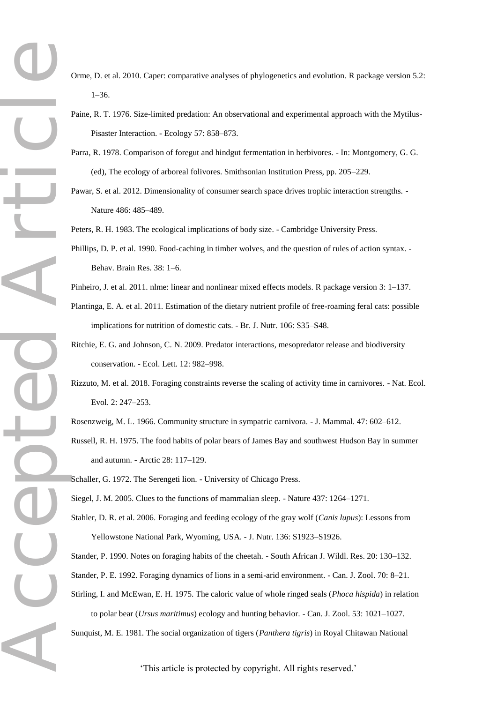- Accepted Article
	- Orme, D. et al. 2010. Caper: comparative analyses of phylogenetics and evolution. R package version 5.2: 1–36.
	- Paine, R. T. 1976. Size-limited predation: An observational and experimental approach with the Mytilus-Pisaster Interaction. - Ecology 57: 858–873.
	- Parra, R. 1978. Comparison of foregut and hindgut fermentation in herbivores. In: Montgomery, G. G. (ed), The ecology of arboreal folivores. Smithsonian Institution Press, pp. 205–229.
	- Pawar, S. et al. 2012. Dimensionality of consumer search space drives trophic interaction strengths. Nature 486: 485–489.
	- Peters, R. H. 1983. The ecological implications of body size. Cambridge University Press.
	- Phillips, D. P. et al. 1990. Food-caching in timber wolves, and the question of rules of action syntax. Behav. Brain Res. 38: 1–6.
	- Pinheiro, J. et al. 2011. nlme: linear and nonlinear mixed effects models. R package version 3: 1–137.
	- Plantinga, E. A. et al. 2011. Estimation of the dietary nutrient profile of free-roaming feral cats: possible implications for nutrition of domestic cats. - Br. J. Nutr. 106: S35–S48.
	- Ritchie, E. G. and Johnson, C. N. 2009. Predator interactions, mesopredator release and biodiversity conservation. - Ecol. Lett. 12: 982–998.
	- Rizzuto, M. et al. 2018. Foraging constraints reverse the scaling of activity time in carnivores. Nat. Ecol. Evol. 2: 247–253.
	- Rosenzweig, M. L. 1966. Community structure in sympatric carnivora. J. Mammal. 47: 602–612.
	- Russell, R. H. 1975. The food habits of polar bears of James Bay and southwest Hudson Bay in summer and autumn. - Arctic 28: 117–129.
	- Schaller, G. 1972. The Serengeti lion. University of Chicago Press.
	- Siegel, J. M. 2005. Clues to the functions of mammalian sleep. Nature 437: 1264–1271.
	- Stahler, D. R. et al. 2006. Foraging and feeding ecology of the gray wolf (*Canis lupus*): Lessons from Yellowstone National Park, Wyoming, USA. - J. Nutr. 136: S1923–S1926.
	- Stander, P. 1990. Notes on foraging habits of the cheetah. South African J. Wildl. Res. 20: 130–132. Stander, P. E. 1992. Foraging dynamics of lions in a semi-arid environment. - Can. J. Zool. 70: 8–21.
	- Stirling, I. and McEwan, E. H. 1975. The caloric value of whole ringed seals (*Phoca hispida*) in relation to polar bear (*Ursus maritimus*) ecology and hunting behavior. - Can. J. Zool. 53: 1021–1027.
	- Sunquist, M. E. 1981. The social organization of tigers (*Panthera tigris*) in Royal Chitawan National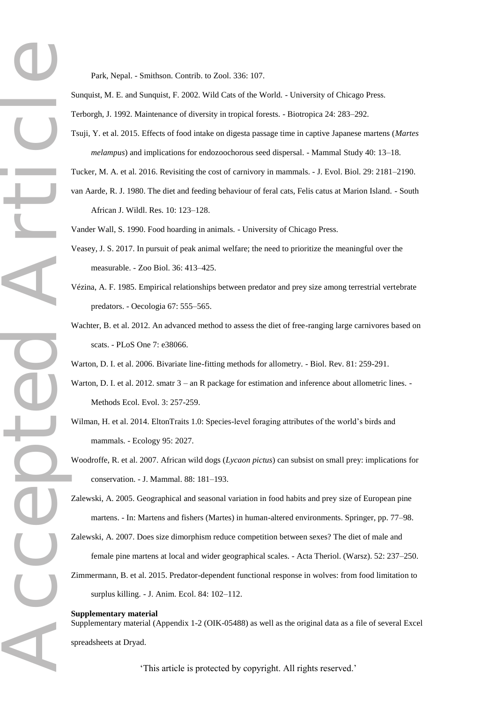Park, Nepal. - Smithson. Contrib. to Zool. 336: 107.

Sunquist, M. E. and Sunquist, F. 2002. Wild Cats of the World. - University of Chicago Press.

Terborgh, J. 1992. Maintenance of diversity in tropical forests. - Biotropica 24: 283–292.

Tsuji, Y. et al. 2015. Effects of food intake on digesta passage time in captive Japanese martens (*Martes melampus*) and implications for endozoochorous seed dispersal. - Mammal Study 40: 13–18.

Tucker, M. A. et al. 2016. Revisiting the cost of carnivory in mammals. - J. Evol. Biol. 29: 2181–2190.

van Aarde, R. J. 1980. The diet and feeding behaviour of feral cats, Felis catus at Marion Island. - South African J. Wildl. Res. 10: 123–128.

Vander Wall, S. 1990. Food hoarding in animals. - University of Chicago Press.

- Veasey, J. S. 2017. In pursuit of peak animal welfare; the need to prioritize the meaningful over the measurable. - Zoo Biol. 36: 413–425.
- Vézina, A. F. 1985. Empirical relationships between predator and prey size among terrestrial vertebrate predators. - Oecologia 67: 555–565.
- Wachter, B. et al. 2012. An advanced method to assess the diet of free-ranging large carnivores based on scats. - PLoS One 7: e38066.

Warton, D. I. et al. 2006. Bivariate line-fitting methods for allometry. - Biol. Rev. 81: 259-291.

- Warton, D. I. et al. 2012. smatr  $3 -$  an R package for estimation and inference about allometric lines. -Methods Ecol. Evol. 3: 257-259.
- Wilman, H. et al. 2014. EltonTraits 1.0: Species-level foraging attributes of the world's birds and mammals. - Ecology 95: 2027.
- Woodroffe, R. et al. 2007. African wild dogs (*Lycaon pictus*) can subsist on small prey: implications for conservation. - J. Mammal. 88: 181–193.
- Zalewski, A. 2005. Geographical and seasonal variation in food habits and prey size of European pine martens. - In: Martens and fishers (Martes) in human-altered environments. Springer, pp. 77–98.

Accepted Article Zalewski, A. 2007. Does size dimorphism reduce competition between sexes? The diet of male and female pine martens at local and wider geographical scales. - Acta Theriol. (Warsz). 52: 237–250. Zimmermann, B. et al. 2015. Predator-dependent functional response in wolves: from food limitation to surplus killing. - J. Anim. Ecol. 84: 102–112.

#### **Supplementary material**

Supplementary material (Appendix 1-2 (OIK-05488) as well as the original data as a file of several Excel spreadsheets at Dryad.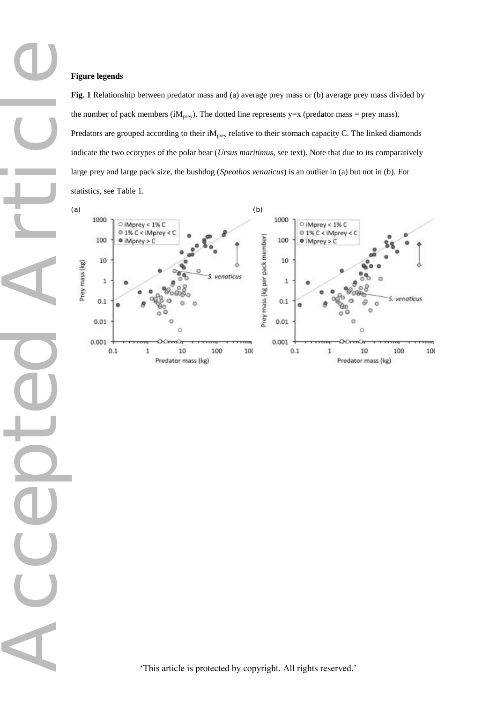## **Figure legends**

CC

**Fig. 1** Relationship between predator mass and (a) average prey mass or (b) average prey mass divided by the number of pack members (i $M_{prey}$ ). The dotted line represents y=x (predator mass = prey mass). Predators are grouped according to their  $iM<sub>prey</sub>$  relative to their stomach capacity C. The linked diamonds indicate the two ecotypes of the polar bear (*Ursus maritimus*, see text). Note that due to its comparatively large prey and large pack size, the bushdog (*Speothos venaticus*) is an outlier in (a) but not in (b). For statistics, see Table 1.

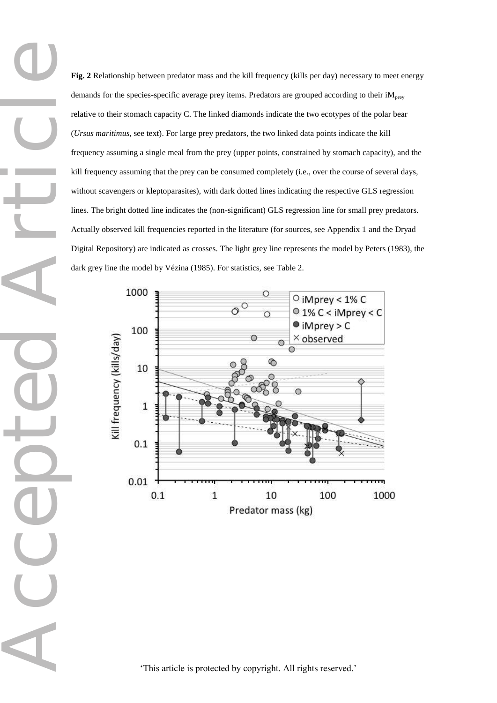**Fig. 2** Relationship between predator mass and the kill frequency (kills per day) necessary to meet energy demands for the species-specific average prey items. Predators are grouped according to their iM<sub>prey</sub> relative to their stomach capacity C. The linked diamonds indicate the two ecotypes of the polar bear (*Ursus maritimus*, see text). For large prey predators, the two linked data points indicate the kill frequency assuming a single meal from the prey (upper points, constrained by stomach capacity), and the kill frequency assuming that the prey can be consumed completely (i.e., over the course of several days, without scavengers or kleptoparasites), with dark dotted lines indicating the respective GLS regression lines. The bright dotted line indicates the (non-significant) GLS regression line for small prey predators. Actually observed kill frequencies reported in the literature (for sources, see Appendix 1 and the Dryad Digital Repository) are indicated as crosses. The light grey line represents the model by Peters (1983), the dark grey line the model by Vézina (1985). For statistics, see Table 2.



Accepted Article CCC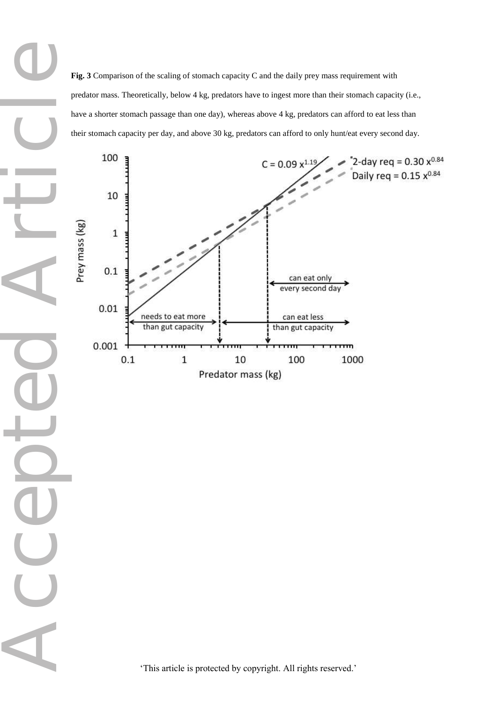Accepted Article **Fig. 3** Comparison of the scaling of stomach capacity C and the daily prey mass requirement with predator mass. Theoretically, below 4 kg, predators have to ingest more than their stomach capacity (i.e., have a shorter stomach passage than one day), whereas above 4 kg, predators can afford to eat less than their stomach capacity per day, and above 30 kg, predators can afford to only hunt/eat every second day.



'This article is protected by copyright. All rights reserved.'

COO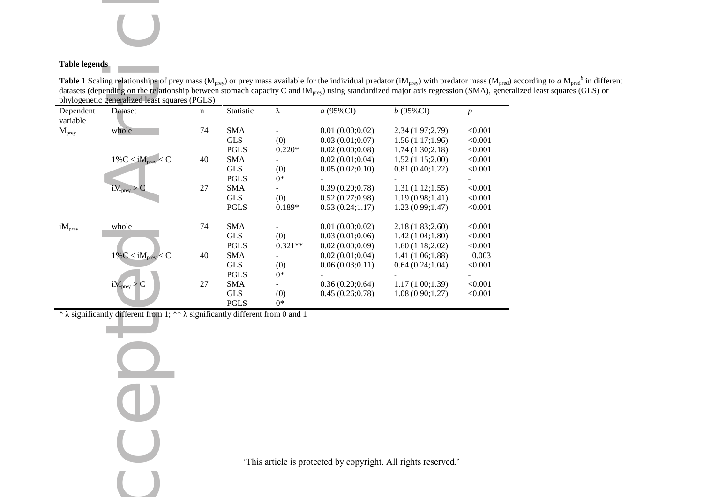# **Table legends**

**Table 1** Scaling relationships of prey mass (M<sub>prey</sub>) or prey mass available for the individual predator (iM<sub>prey</sub>) with predator mass (M<sub>pred</sub>) according to *a* M<sub>pred</sub><sup>b</sup> in different datasets (depending on the relationship between stomach capacity C and i $M_{prey}$ ) using standardized major axis regression (SMA), generalized least squares (GLS) or phylogenetic generalized least squares (PGLS)

| n                                                                                                                                        | Statistic                                                                 | λ                                                                                                                                                                                                                    | a (95%CI)                                                                                                                                                                                        | $b(95\%CI)$                                                                                                                                                                                                   | $\boldsymbol{p}$                                                                                                                                                                                                                                                                                                                                                                                                                                                                                                                                                                                        |
|------------------------------------------------------------------------------------------------------------------------------------------|---------------------------------------------------------------------------|----------------------------------------------------------------------------------------------------------------------------------------------------------------------------------------------------------------------|--------------------------------------------------------------------------------------------------------------------------------------------------------------------------------------------------|---------------------------------------------------------------------------------------------------------------------------------------------------------------------------------------------------------------|---------------------------------------------------------------------------------------------------------------------------------------------------------------------------------------------------------------------------------------------------------------------------------------------------------------------------------------------------------------------------------------------------------------------------------------------------------------------------------------------------------------------------------------------------------------------------------------------------------|
| 74                                                                                                                                       | <b>SMA</b>                                                                | $\overline{\phantom{a}}$                                                                                                                                                                                             | 0.01(0.00;0.02)                                                                                                                                                                                  | 2.34 (1.97;2.79)                                                                                                                                                                                              | < 0.001                                                                                                                                                                                                                                                                                                                                                                                                                                                                                                                                                                                                 |
|                                                                                                                                          | <b>GLS</b>                                                                | (0)                                                                                                                                                                                                                  | 0.03(0.01;0.07)                                                                                                                                                                                  | 1.56(1.17;1.96)                                                                                                                                                                                               | < 0.001                                                                                                                                                                                                                                                                                                                                                                                                                                                                                                                                                                                                 |
|                                                                                                                                          |                                                                           |                                                                                                                                                                                                                      | 0.02(0.00;0.08)                                                                                                                                                                                  | 1.74(1.30;2.18)                                                                                                                                                                                               | < 0.001                                                                                                                                                                                                                                                                                                                                                                                                                                                                                                                                                                                                 |
| 40                                                                                                                                       | <b>SMA</b>                                                                |                                                                                                                                                                                                                      | 0.02(0.01;0.04)                                                                                                                                                                                  | 1.52(1.15;2.00)                                                                                                                                                                                               | < 0.001                                                                                                                                                                                                                                                                                                                                                                                                                                                                                                                                                                                                 |
|                                                                                                                                          |                                                                           | (0)                                                                                                                                                                                                                  |                                                                                                                                                                                                  | 0.81(0.40;1.22)                                                                                                                                                                                               | < 0.001                                                                                                                                                                                                                                                                                                                                                                                                                                                                                                                                                                                                 |
|                                                                                                                                          |                                                                           |                                                                                                                                                                                                                      |                                                                                                                                                                                                  |                                                                                                                                                                                                               |                                                                                                                                                                                                                                                                                                                                                                                                                                                                                                                                                                                                         |
|                                                                                                                                          |                                                                           |                                                                                                                                                                                                                      |                                                                                                                                                                                                  |                                                                                                                                                                                                               | < 0.001                                                                                                                                                                                                                                                                                                                                                                                                                                                                                                                                                                                                 |
|                                                                                                                                          |                                                                           |                                                                                                                                                                                                                      |                                                                                                                                                                                                  |                                                                                                                                                                                                               | < 0.001                                                                                                                                                                                                                                                                                                                                                                                                                                                                                                                                                                                                 |
|                                                                                                                                          |                                                                           |                                                                                                                                                                                                                      |                                                                                                                                                                                                  |                                                                                                                                                                                                               | < 0.001                                                                                                                                                                                                                                                                                                                                                                                                                                                                                                                                                                                                 |
|                                                                                                                                          |                                                                           |                                                                                                                                                                                                                      |                                                                                                                                                                                                  |                                                                                                                                                                                                               | < 0.001                                                                                                                                                                                                                                                                                                                                                                                                                                                                                                                                                                                                 |
|                                                                                                                                          |                                                                           |                                                                                                                                                                                                                      |                                                                                                                                                                                                  |                                                                                                                                                                                                               | < 0.001                                                                                                                                                                                                                                                                                                                                                                                                                                                                                                                                                                                                 |
|                                                                                                                                          |                                                                           |                                                                                                                                                                                                                      |                                                                                                                                                                                                  |                                                                                                                                                                                                               | < 0.001                                                                                                                                                                                                                                                                                                                                                                                                                                                                                                                                                                                                 |
|                                                                                                                                          |                                                                           |                                                                                                                                                                                                                      |                                                                                                                                                                                                  |                                                                                                                                                                                                               | 0.003                                                                                                                                                                                                                                                                                                                                                                                                                                                                                                                                                                                                   |
|                                                                                                                                          |                                                                           |                                                                                                                                                                                                                      |                                                                                                                                                                                                  |                                                                                                                                                                                                               | < 0.001                                                                                                                                                                                                                                                                                                                                                                                                                                                                                                                                                                                                 |
|                                                                                                                                          |                                                                           |                                                                                                                                                                                                                      |                                                                                                                                                                                                  |                                                                                                                                                                                                               |                                                                                                                                                                                                                                                                                                                                                                                                                                                                                                                                                                                                         |
|                                                                                                                                          |                                                                           |                                                                                                                                                                                                                      |                                                                                                                                                                                                  |                                                                                                                                                                                                               | < 0.001                                                                                                                                                                                                                                                                                                                                                                                                                                                                                                                                                                                                 |
|                                                                                                                                          |                                                                           |                                                                                                                                                                                                                      |                                                                                                                                                                                                  |                                                                                                                                                                                                               | < 0.001                                                                                                                                                                                                                                                                                                                                                                                                                                                                                                                                                                                                 |
|                                                                                                                                          |                                                                           | $0*$                                                                                                                                                                                                                 |                                                                                                                                                                                                  | ٠                                                                                                                                                                                                             | $\blacksquare$                                                                                                                                                                                                                                                                                                                                                                                                                                                                                                                                                                                          |
|                                                                                                                                          |                                                                           |                                                                                                                                                                                                                      |                                                                                                                                                                                                  |                                                                                                                                                                                                               |                                                                                                                                                                                                                                                                                                                                                                                                                                                                                                                                                                                                         |
|                                                                                                                                          |                                                                           |                                                                                                                                                                                                                      |                                                                                                                                                                                                  |                                                                                                                                                                                                               |                                                                                                                                                                                                                                                                                                                                                                                                                                                                                                                                                                                                         |
|                                                                                                                                          |                                                                           |                                                                                                                                                                                                                      |                                                                                                                                                                                                  |                                                                                                                                                                                                               |                                                                                                                                                                                                                                                                                                                                                                                                                                                                                                                                                                                                         |
|                                                                                                                                          |                                                                           |                                                                                                                                                                                                                      |                                                                                                                                                                                                  |                                                                                                                                                                                                               |                                                                                                                                                                                                                                                                                                                                                                                                                                                                                                                                                                                                         |
|                                                                                                                                          |                                                                           |                                                                                                                                                                                                                      |                                                                                                                                                                                                  |                                                                                                                                                                                                               |                                                                                                                                                                                                                                                                                                                                                                                                                                                                                                                                                                                                         |
|                                                                                                                                          |                                                                           |                                                                                                                                                                                                                      |                                                                                                                                                                                                  |                                                                                                                                                                                                               |                                                                                                                                                                                                                                                                                                                                                                                                                                                                                                                                                                                                         |
|                                                                                                                                          |                                                                           |                                                                                                                                                                                                                      |                                                                                                                                                                                                  |                                                                                                                                                                                                               |                                                                                                                                                                                                                                                                                                                                                                                                                                                                                                                                                                                                         |
|                                                                                                                                          |                                                                           |                                                                                                                                                                                                                      |                                                                                                                                                                                                  |                                                                                                                                                                                                               |                                                                                                                                                                                                                                                                                                                                                                                                                                                                                                                                                                                                         |
|                                                                                                                                          |                                                                           |                                                                                                                                                                                                                      |                                                                                                                                                                                                  |                                                                                                                                                                                                               |                                                                                                                                                                                                                                                                                                                                                                                                                                                                                                                                                                                                         |
|                                                                                                                                          |                                                                           |                                                                                                                                                                                                                      |                                                                                                                                                                                                  |                                                                                                                                                                                                               |                                                                                                                                                                                                                                                                                                                                                                                                                                                                                                                                                                                                         |
| Dataset<br>whole<br>$1\%C < iM_{prey} < C$<br>iM <sub>prey</sub> > 0<br>whole<br>$1\%C < iM_{\text{prey}} < C$<br>iM <sub>prey</sub> > C | phylogenetic generalized least squares (PGLS)<br>27<br>74<br>40<br>$27\,$ | <b>PGLS</b><br><b>GLS</b><br><b>PGLS</b><br><b>SMA</b><br><b>GLS</b><br><b>PGLS</b><br><b>SMA</b><br><b>GLS</b><br><b>PGLS</b><br><b>SMA</b><br><b>GLS</b><br><b>PGLS</b><br><b>SMA</b><br><b>GLS</b><br><b>PGLS</b> | $0.220*$<br>$0*$<br>(0)<br>$0.189*$<br>(0)<br>$0.321**$<br>(0)<br>$0*$<br>$\blacksquare$<br>(0)<br>* $\lambda$ significantly different from 1; ** $\lambda$ significantly different from 0 and 1 | 0.05(0.02;0.10)<br>0.39(0.20;0.78)<br>0.52(0.27;0.98)<br>0.53(0.24;1.17)<br>0.01(0.00;0.02)<br>0.03(0.01;0.06)<br>0.02(0.00;0.09)<br>0.02(0.01;0.04)<br>0.06(0.03;0.11)<br>0.36(0.20;0.64)<br>0.45(0.26;0.78) | <b>Table 1</b> Scaling relationships of prey mass ( $M_{\text{prey}}$ ) or prey mass available for the individual predator (i $M_{\text{prey}}$ ) with predator mass ( $M_{\text{pred}}$ )<br>datasets (depending on the relationship between stomach capacity C and $iM_{prey}$ ) using standardized major axis regression (SMA), gene<br>1.31(1.12;1.55)<br>1.19(0.98;1.41)<br>1.23(0.99;1.47)<br>2.18(1.83;2.60)<br>1.42(1.04;1.80)<br>1.60(1.18;2.02)<br>1.41(1.06;1.88)<br>0.64(0.24;1.04)<br>1.17(1.00;1.39)<br>1.08(0.90;1.27)<br>'This article is protected by copyright. All rights reserved.' |